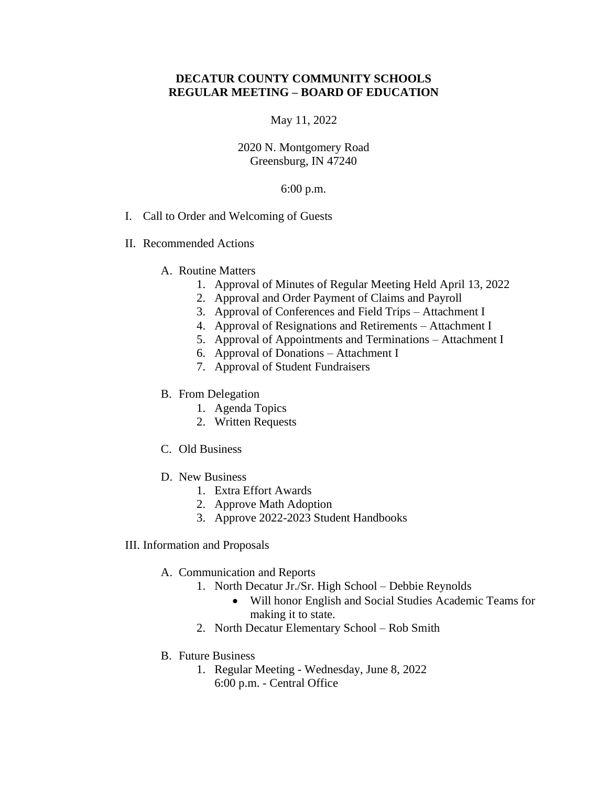# **DECATUR COUNTY COMMUNITY SCHOOLS REGULAR MEETING – BOARD OF EDUCATION**

### May 11, 2022

## 2020 N. Montgomery Road Greensburg, IN 47240

### 6:00 p.m.

- I. Call to Order and Welcoming of Guests
- II. Recommended Actions
	- A. Routine Matters
		- 1. Approval of Minutes of Regular Meeting Held April 13, 2022
		- 2. Approval and Order Payment of Claims and Payroll
		- 3. Approval of Conferences and Field Trips Attachment I
		- 4. Approval of Resignations and Retirements Attachment I
		- 5. Approval of Appointments and Terminations Attachment I
		- 6. Approval of Donations Attachment I
		- 7. Approval of Student Fundraisers

### B. From Delegation

- 1. Agenda Topics
- 2. Written Requests
- C. Old Business
- D. New Business
	- 1. Extra Effort Awards
	- 2. Approve Math Adoption
	- 3. Approve 2022-2023 Student Handbooks
- III. Information and Proposals
	- A. Communication and Reports
		- 1. North Decatur Jr./Sr. High School Debbie Reynolds
			- Will honor English and Social Studies Academic Teams for making it to state.
		- 2. North Decatur Elementary School Rob Smith
	- B. Future Business
		- 1. Regular Meeting Wednesday, June 8, 2022 6:00 p.m. - Central Office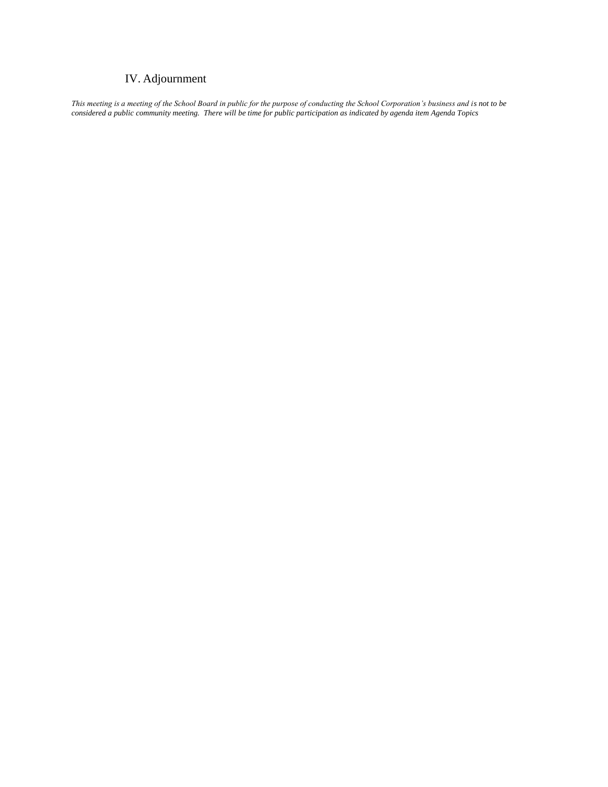# IV. Adjournment

*This meeting is a meeting of the School Board in public for the purpose of conducting the School Corporation's business and is not to be considered a public community meeting. There will be time for public participation as indicated by agenda item Agenda Topics*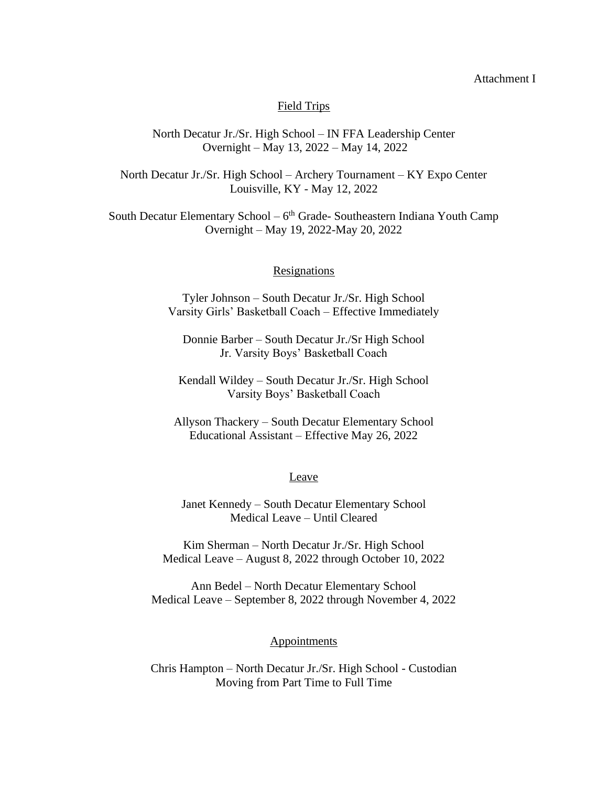### Attachment I

### Field Trips

## North Decatur Jr./Sr. High School – IN FFA Leadership Center Overnight – May 13, 2022 – May 14, 2022

North Decatur Jr./Sr. High School – Archery Tournament – KY Expo Center Louisville, KY - May 12, 2022

South Decatur Elementary School – 6<sup>th</sup> Grade- Southeastern Indiana Youth Camp Overnight – May 19, 2022-May 20, 2022

### **Resignations**

Tyler Johnson – South Decatur Jr./Sr. High School Varsity Girls' Basketball Coach – Effective Immediately

Donnie Barber – South Decatur Jr./Sr High School Jr. Varsity Boys' Basketball Coach

Kendall Wildey – South Decatur Jr./Sr. High School Varsity Boys' Basketball Coach

Allyson Thackery – South Decatur Elementary School Educational Assistant – Effective May 26, 2022

#### Leave

Janet Kennedy – South Decatur Elementary School Medical Leave – Until Cleared

Kim Sherman – North Decatur Jr./Sr. High School Medical Leave – August 8, 2022 through October 10, 2022

Ann Bedel – North Decatur Elementary School Medical Leave – September 8, 2022 through November 4, 2022

### **Appointments**

Chris Hampton – North Decatur Jr./Sr. High School - Custodian Moving from Part Time to Full Time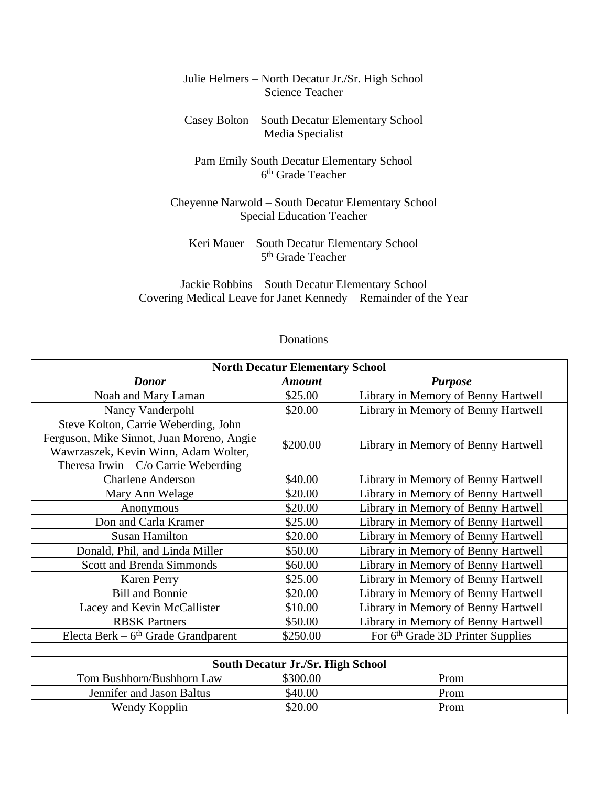# Julie Helmers – North Decatur Jr./Sr. High School Science Teacher

# Casey Bolton – South Decatur Elementary School Media Specialist

# Pam Emily South Decatur Elementary School 6 th Grade Teacher

# Cheyenne Narwold – South Decatur Elementary School Special Education Teacher

# Keri Mauer – South Decatur Elementary School 5<sup>th</sup> Grade Teacher

# Jackie Robbins – South Decatur Elementary School Covering Medical Leave for Janet Kennedy – Remainder of the Year

# **Donations**

| <b>North Decatur Elementary School</b>                                                                                                                              |               |                                               |  |
|---------------------------------------------------------------------------------------------------------------------------------------------------------------------|---------------|-----------------------------------------------|--|
| <b>Donor</b>                                                                                                                                                        | <b>Amount</b> | <b>Purpose</b>                                |  |
| Noah and Mary Laman                                                                                                                                                 | \$25.00       | Library in Memory of Benny Hartwell           |  |
| Nancy Vanderpohl                                                                                                                                                    | \$20.00       | Library in Memory of Benny Hartwell           |  |
| Steve Kolton, Carrie Weberding, John<br>Ferguson, Mike Sinnot, Juan Moreno, Angie<br>Wawrzaszek, Kevin Winn, Adam Wolter,<br>Theresa Irwin $-C$ /o Carrie Weberding | \$200.00      | Library in Memory of Benny Hartwell           |  |
| <b>Charlene Anderson</b>                                                                                                                                            | \$40.00       | Library in Memory of Benny Hartwell           |  |
| Mary Ann Welage                                                                                                                                                     | \$20.00       | Library in Memory of Benny Hartwell           |  |
| Anonymous                                                                                                                                                           | \$20.00       | Library in Memory of Benny Hartwell           |  |
| Don and Carla Kramer                                                                                                                                                | \$25.00       | Library in Memory of Benny Hartwell           |  |
| <b>Susan Hamilton</b>                                                                                                                                               | \$20.00       | Library in Memory of Benny Hartwell           |  |
| Donald, Phil, and Linda Miller                                                                                                                                      | \$50.00       | Library in Memory of Benny Hartwell           |  |
| <b>Scott and Brenda Simmonds</b>                                                                                                                                    | \$60.00       | Library in Memory of Benny Hartwell           |  |
| <b>Karen Perry</b>                                                                                                                                                  | \$25.00       | Library in Memory of Benny Hartwell           |  |
| <b>Bill and Bonnie</b>                                                                                                                                              | \$20.00       | Library in Memory of Benny Hartwell           |  |
| Lacey and Kevin McCallister                                                                                                                                         | \$10.00       | Library in Memory of Benny Hartwell           |  |
| <b>RBSK Partners</b>                                                                                                                                                | \$50.00       | Library in Memory of Benny Hartwell           |  |
| Electa Berk $-6th$ Grade Grandparent                                                                                                                                | \$250.00      | For 6 <sup>th</sup> Grade 3D Printer Supplies |  |
|                                                                                                                                                                     |               |                                               |  |
| <b>South Decatur Jr./Sr. High School</b>                                                                                                                            |               |                                               |  |
| Tom Bushhorn/Bushhorn Law                                                                                                                                           | \$300.00      | Prom                                          |  |
| Jennifer and Jason Baltus                                                                                                                                           | \$40.00       | Prom                                          |  |
| Wendy Kopplin                                                                                                                                                       | \$20.00       | Prom                                          |  |